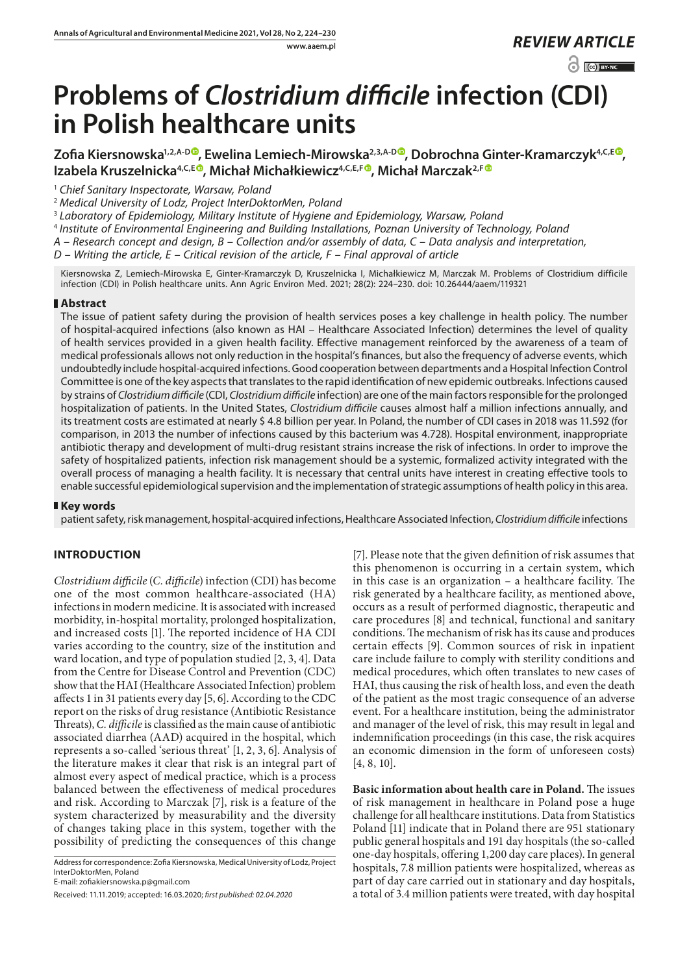www.aaem.pl *REVIEW [ARTICLE](https://creativecommons.org/licenses/by-nc/3.0/pl/deed.en)* 

 $\odot$   $\odot$  BY-NC

# **Problems of** *Clostridium difficile* **infection (CDI) in Polish healthcare units**

Zofia Kiersnowska<sup>1[,](https://orcid.org/0000-0003-0569-506X)2,A-D®</sup>, Ewelina Lemiech-Mirowska<sup>2,3,A-D®</sup>, Dobrochna Ginter-Kramarczyk<sup>4,C,E®</sup>, Izabela Kruszelnicka<sup>4,C,E®</sup>, Michał Michałkiewicz<sup>4,C,E,F®</sup>, Michał Marczak<sup>2,F®</sup>

<sup>1</sup> *Chief Sanitary Inspectorate, Warsaw, Poland*

<sup>2</sup> *Medical University of Lodz, Project InterDoktorMen, Poland*

<sup>3</sup> *Laboratory of Epidemiology, Military Institute of Hygiene and Epidemiology, Warsaw, Poland*

<sup>4</sup> *Institute of Environmental Engineering and Building Installations, Poznan University of Technology, Poland*

*A – Research concept and design, B – Collection and/or assembly of data, C – Data analysis and interpretation,* 

*D – Writing the article, E – Critical revision of the article, F – Final approval of article*

Kiersnowska Z, Lemiech-Mirowska E, Ginter-Kramarczyk D, Kruszelnicka I, Michałkiewicz M, Marczak M. Problems of Clostridium difficile infection (CDI) in Polish healthcare units. Ann Agric Environ Med. 2021; 28(2): 224–230. doi: 10.26444/aaem/119321

## **Abstract**

The issue of patient safety during the provision of health services poses a key challenge in health policy. The number of hospital-acquired infections (also known as HAI – Healthcare Associated Infection) determines the level of quality of health services provided in a given health facility. Effective management reinforced by the awareness of a team of medical professionals allows not only reduction in the hospital's finances, but also the frequency of adverse events, which undoubtedly include hospital-acquired infections. Good cooperation between departments and a Hospital Infection Control Committee is one of the key aspects that translates to the rapid identification of new epidemic outbreaks. Infections caused by strains of *Clostridium difficile* (CDI, *Clostridium difficile* infection) are one of the main factors responsible for the prolonged hospitalization of patients. In the United States, *Clostridium difficile* causes almost half a million infections annually, and its treatment costs are estimated at nearly \$ 4.8 billion per year. In Poland, the number of CDI cases in 2018 was 11.592 (for comparison, in 2013 the number of infections caused by this bacterium was 4.728). Hospital environment, inappropriate antibiotic therapy and development of multi-drug resistant strains increase the risk of infections. In order to improve the safety of hospitalized patients, infection risk management should be a systemic, formalized activity integrated with the overall process of managing a health facility. It is necessary that central units have interest in creating effective tools to enable successful epidemiological supervision and the implementation of strategic assumptions of health policy in this area.

## **Key words**

patient safety, risk management, hospital-acquired infections, Healthcare Associated Infection, *Clostridium difficile* infections

## **INTRODUCTION**

*Clostridium difficile* (*C. difficile*) infection (CDI) has become one of the most common healthcare-associated (HA) infections in modern medicine. It is associated with increased morbidity, in-hospital mortality, prolonged hospitalization, and increased costs [1]. The reported incidence of HA CDI varies according to the country, size of the institution and ward location, and type of population studied [2, 3, 4]. Data from the Centre for Disease Control and Prevention (CDC) show that the HAI (Healthcare Associated Infection) problem affects 1 in 31 patients every day [5, 6]. According to the CDC report on the risks of drug resistance (Antibiotic Resistance Threats), *C. difficile* is classified as the main cause of antibiotic associated diarrhea (AAD) acquired in the hospital, which represents a so-called 'serious threat' [1, 2, 3, 6]. Analysis of the literature makes it clear that risk is an integral part of almost every aspect of medical practice, which is a process balanced between the effectiveness of medical procedures and risk. According to Marczak [7], risk is a feature of the system characterized by measurability and the diversity of changes taking place in this system, together with the possibility of predicting the consequences of this change

E-mail: zofiakiersnowska.p@gmail.com

[7]. Please note that the given definition of risk assumes that this phenomenon is occurring in a certain system, which in this case is an organization – a healthcare facility. The risk generated by a healthcare facility, as mentioned above, occurs as a result of performed diagnostic, therapeutic and care procedures [8] and technical, functional and sanitary conditions. The mechanism of risk has its cause and produces certain effects [9]. Common sources of risk in inpatient care include failure to comply with sterility conditions and medical procedures, which often translates to new cases of HAI, thus causing the risk of health loss, and even the death of the patient as the most tragic consequence of an adverse event. For a healthcare institution, being the administrator and manager of the level of risk, this may result in legal and indemnification proceedings (in this case, the risk acquires an economic dimension in the form of unforeseen costs) [4, 8, 10].

**Basic information about health care in Poland.** The issues of risk management in healthcare in Poland pose a huge challenge for all healthcare institutions. Data from Statistics Poland [11] indicate that in Poland there are 951 stationary public general hospitals and 191 day hospitals (the so-called one-day hospitals, offering 1,200 day care places). In general hospitals, 7.8 million patients were hospitalized, whereas as part of day care carried out in stationary and day hospitals, a total of 3.4 million patients were treated, with day hospital

Address for correspondence: Zofia Kiersnowska, Medical University of Lodz, Project InterDoktorMen, Poland

Received: 11.11.2019; accepted: 16.03.2020; *first published: 02.04.2020*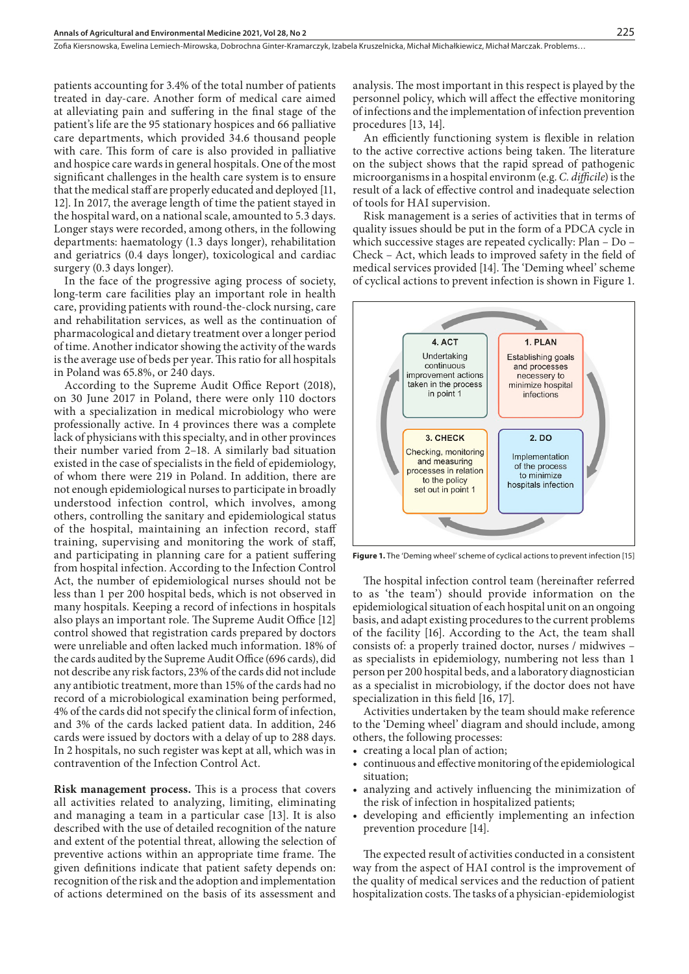patients accounting for 3.4% of the total number of patients treated in day-care. Another form of medical care aimed at alleviating pain and suffering in the final stage of the patient's life are the 95 stationary hospices and 66 palliative care departments, which provided 34.6 thousand people with care. This form of care is also provided in palliative and hospice care wards in general hospitals. One of the most significant challenges in the health care system is to ensure that the medical staff are properly educated and deployed [11, 12]. In 2017, the average length of time the patient stayed in the hospital ward, on a national scale, amounted to 5.3 days. Longer stays were recorded, among others, in the following departments: haematology (1.3 days longer), rehabilitation and geriatrics (0.4 days longer), toxicological and cardiac surgery (0.3 days longer).

In the face of the progressive aging process of society, long-term care facilities play an important role in health care, providing patients with round-the-clock nursing, care and rehabilitation services, as well as the continuation of pharmacological and dietary treatment over a longer period of time. Another indicator showing the activity of the wards is the average use of beds per year. This ratio for all hospitals in Poland was 65.8%, or 240 days.

According to the Supreme Audit Office Report (2018), on 30 June 2017 in Poland, there were only 110 doctors with a specialization in medical microbiology who were professionally active. In 4 provinces there was a complete lack of physicians with this specialty, and in other provinces their number varied from 2–18. A similarly bad situation existed in the case of specialists in the field of epidemiology, of whom there were 219 in Poland. In addition, there are not enough epidemiological nurses to participate in broadly understood infection control, which involves, among others, controlling the sanitary and epidemiological status of the hospital, maintaining an infection record, staff training, supervising and monitoring the work of staff, and participating in planning care for a patient suffering from hospital infection. According to the Infection Control Act, the number of epidemiological nurses should not be less than 1 per 200 hospital beds, which is not observed in many hospitals. Keeping a record of infections in hospitals also plays an important role. The Supreme Audit Office [12] control showed that registration cards prepared by doctors were unreliable and often lacked much information. 18% of the cards audited by the Supreme Audit Office (696 cards), did not describe any risk factors, 23% of the cards did not include any antibiotic treatment, more than 15% of the cards had no record of a microbiological examination being performed, 4% of the cards did not specify the clinical form of infection, and 3% of the cards lacked patient data. In addition, 246 cards were issued by doctors with a delay of up to 288 days. In 2 hospitals, no such register was kept at all, which was in contravention of the Infection Control Act.

**Risk management process.** This is a process that covers all activities related to analyzing, limiting, eliminating and managing a team in a particular case [13]. It is also described with the use of detailed recognition of the nature and extent of the potential threat, allowing the selection of preventive actions within an appropriate time frame. The given definitions indicate that patient safety depends on: recognition of the risk and the adoption and implementation of actions determined on the basis of its assessment and

analysis. The most important in this respect is played by the personnel policy, which will affect the effective monitoring of infections and the implementation of infection prevention procedures [13, 14].

An efficiently functioning system is flexible in relation to the active corrective actions being taken. The literature on the subject shows that the rapid spread of pathogenic microorganisms in a hospital environm (e.g. *C. difficile*) is the result of a lack of effective control and inadequate selection of tools for HAI supervision.

Risk management is a series of activities that in terms of quality issues should be put in the form of a PDCA cycle in which successive stages are repeated cyclically: Plan – Do – Check – Act, which leads to improved safety in the field of medical services provided [14]. The 'Deming wheel' scheme of cyclical actions to prevent infection is shown in Figure 1.



**Figure 1.** The 'Deming wheel' scheme of cyclical actions to prevent infection [15]

The hospital infection control team (hereinafter referred to as 'the team') should provide information on the epidemiological situation of each hospital unit on an ongoing basis, and adapt existing procedures to the current problems of the facility [16]. According to the Act, the team shall consists of: a properly trained doctor, nurses / midwives – as specialists in epidemiology, numbering not less than 1 person per 200 hospital beds, and a laboratory diagnostician as a specialist in microbiology, if the doctor does not have specialization in this field [16, 17].

Activities undertaken by the team should make reference to the 'Deming wheel' diagram and should include, among others, the following processes:

- • creating a local plan of action;
- • continuous and effective monitoring of the epidemiological situation;
- • analyzing and actively influencing the minimization of the risk of infection in hospitalized patients;
- • developing and efficiently implementing an infection prevention procedure [14].

The expected result of activities conducted in a consistent way from the aspect of HAI control is the improvement of the quality of medical services and the reduction of patient hospitalization costs. The tasks of a physician-epidemiologist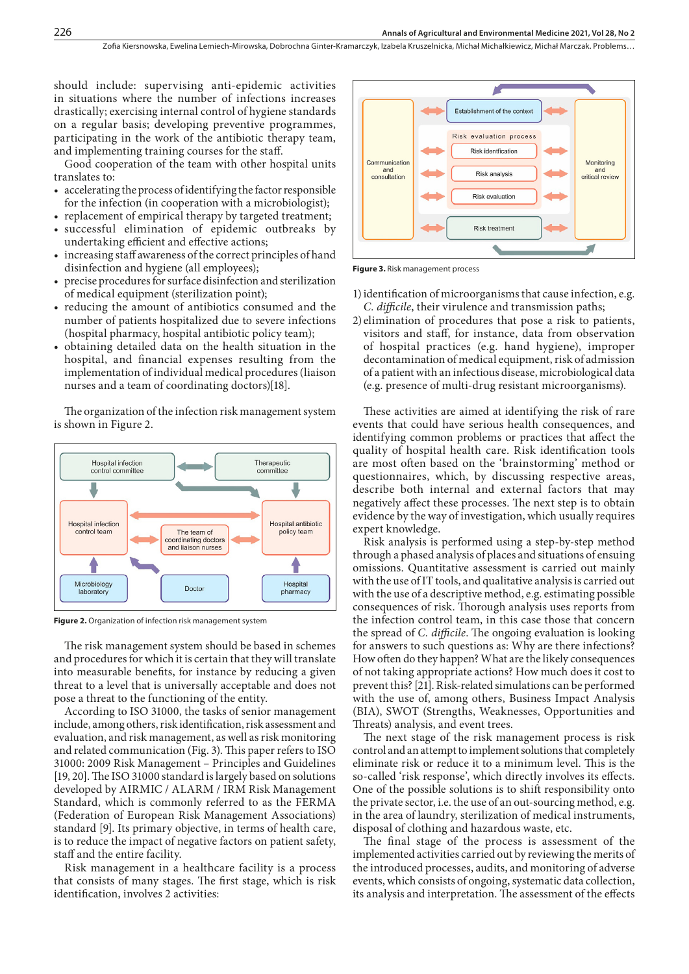should include: supervising anti-epidemic activities in situations where the number of infections increases drastically; exercising internal control of hygiene standards on a regular basis; developing preventive programmes, participating in the work of the antibiotic therapy team, and implementing training courses for the staff.

Good cooperation of the team with other hospital units translates to:

- accelerating the process of identifying the factor responsible for the infection (in cooperation with a microbiologist);
- replacement of empirical therapy by targeted treatment;
- successful elimination of epidemic outbreaks by undertaking efficient and effective actions;
- increasing staff awareness of the correct principles of hand disinfection and hygiene (all employees);
- precise procedures for surface disinfection and sterilization of medical equipment (sterilization point);
- reducing the amount of antibiotics consumed and the number of patients hospitalized due to severe infections (hospital pharmacy, hospital antibiotic policy team);
- • obtaining detailed data on the health situation in the hospital, and financial expenses resulting from the implementation of individual medical procedures (liaison nurses and a team of coordinating doctors)[18].

The organization of the infection risk management system is shown in Figure 2.



**Figure 2.** Organization of infection risk management system

The risk management system should be based in schemes and procedures for which it is certain that they will translate into measurable benefits, for instance by reducing a given threat to a level that is universally acceptable and does not pose a threat to the functioning of the entity.

According to ISO 31000, the tasks of senior management include, among others, risk identification, risk assessment and evaluation, and risk management, as well as risk monitoring and related communication (Fig. 3). This paper refers to ISO 31000: 2009 Risk Management – Principles and Guidelines [19, 20]. The ISO 31000 standard is largely based on solutions developed by AIRMIC / ALARM / IRM Risk Management Standard, which is commonly referred to as the FERMA (Federation of European Risk Management Associations) standard [9]. Its primary objective, in terms of health care, is to reduce the impact of negative factors on patient safety, staff and the entire facility.

Risk management in a healthcare facility is a process that consists of many stages. The first stage, which is risk identification, involves 2 activities:



**Figure 3.** Risk management process

- 1) identification of microorganisms that cause infection, e.g. *C. difficile*, their virulence and transmission paths;
- 2) elimination of procedures that pose a risk to patients, visitors and staff, for instance, data from observation of hospital practices (e.g. hand hygiene), improper decontamination of medical equipment, risk of admission of a patient with an infectious disease, microbiological data (e.g. presence of multi-drug resistant microorganisms).

These activities are aimed at identifying the risk of rare events that could have serious health consequences, and identifying common problems or practices that affect the quality of hospital health care. Risk identification tools are most often based on the 'brainstorming' method or questionnaires, which, by discussing respective areas, describe both internal and external factors that may negatively affect these processes. The next step is to obtain evidence by the way of investigation, which usually requires expert knowledge.

Risk analysis is performed using a step-by-step method through a phased analysis of places and situations of ensuing omissions. Quantitative assessment is carried out mainly with the use of IT tools, and qualitative analysis is carried out with the use of a descriptive method, e.g. estimating possible consequences of risk. Thorough analysis uses reports from the infection control team, in this case those that concern the spread of *C. difficile*. The ongoing evaluation is looking for answers to such questions as: Why are there infections? How often do they happen? What are the likely consequences of not taking appropriate actions? How much does it cost to prevent this? [21]. Risk-related simulations can be performed with the use of, among others, Business Impact Analysis (BIA), SWOT (Strengths, Weaknesses, Opportunities and Threats) analysis, and event trees.

The next stage of the risk management process is risk control and an attempt to implement solutions that completely eliminate risk or reduce it to a minimum level. This is the so-called 'risk response', which directly involves its effects. One of the possible solutions is to shift responsibility onto the private sector, i.e. the use of an out-sourcing method, e.g. in the area of laundry, sterilization of medical instruments, disposal of clothing and hazardous waste, etc.

The final stage of the process is assessment of the implemented activities carried out by reviewing the merits of the introduced processes, audits, and monitoring of adverse events, which consists of ongoing, systematic data collection, its analysis and interpretation. The assessment of the effects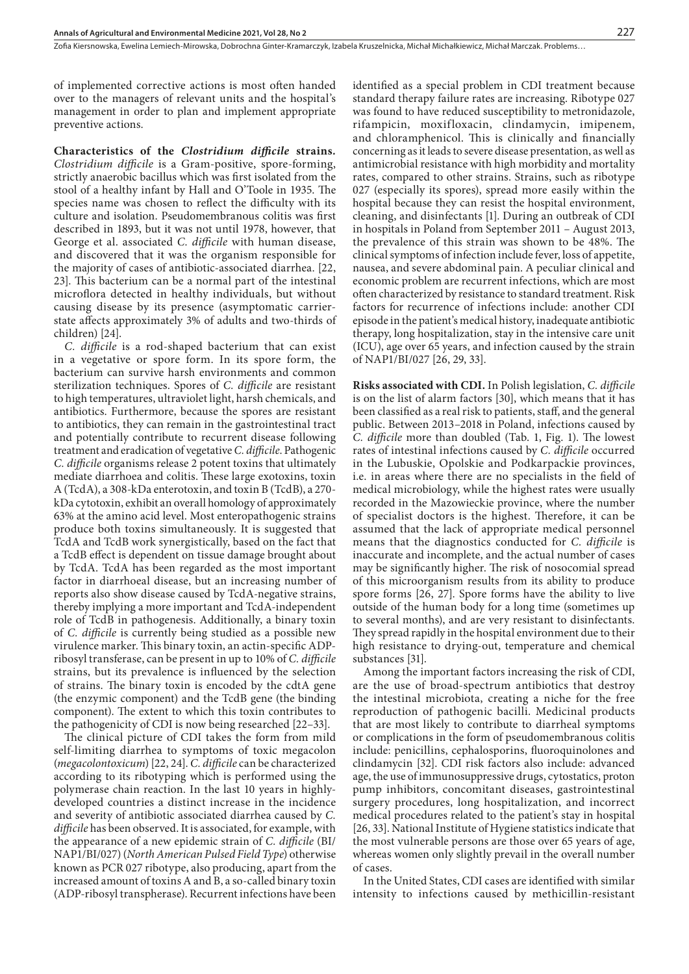of implemented corrective actions is most often handed over to the managers of relevant units and the hospital's management in order to plan and implement appropriate preventive actions.

**Characteristics of the** *Clostridium difficile* **strains***. Clostridium difficile* is a Gram-positive, spore-forming, strictly anaerobic bacillus which was first isolated from the stool of a healthy infant by Hall and O'Toole in 1935. The species name was chosen to reflect the difficulty with its culture and isolation. Pseudomembranous colitis was first described in 1893, but it was not until 1978, however, that George et al. associated *C. difficile* with human disease, and discovered that it was the organism responsible for the majority of cases of antibiotic-associated diarrhea. [22, 23]. This bacterium can be a normal part of the intestinal microflora detected in healthy individuals, but without causing disease by its presence (asymptomatic carrierstate affects approximately 3% of adults and two-thirds of children) [24].

*C. difficile* is a rod-shaped bacterium that can exist in a vegetative or spore form. In its spore form, the bacterium can survive harsh environments and common sterilization techniques. Spores of *C. difficile* are resistant to high temperatures, ultraviolet light, harsh chemicals, and antibiotics. Furthermore, because the spores are resistant to antibiotics, they can remain in the gastrointestinal tract and potentially contribute to recurrent disease following treatment and eradication of vegetative *C. difficile*. Pathogenic *C. difficile* organisms release 2 potent toxins that ultimately mediate diarrhoea and colitis. These large exotoxins, toxin A (TcdA), a 308-kDa enterotoxin, and toxin B (TcdB), a 270 kDa cytotoxin, exhibit an overall homology of approximately 63% at the amino acid level. Most enteropathogenic strains produce both toxins simultaneously. It is suggested that TcdA and TcdB work synergistically, based on the fact that a TcdB effect is dependent on tissue damage brought about by TcdA. TcdA has been regarded as the most important factor in diarrhoeal disease, but an increasing number of reports also show disease caused by TcdA-negative strains, thereby implying a more important and TcdA-independent role of TcdB in pathogenesis. Additionally, a binary toxin of *C. difficile* is currently being studied as a possible new virulence marker. This binary toxin, an actin-specific ADPribosyl transferase, can be present in up to 10% of *C. difficile*  strains, but its prevalence is influenced by the selection of strains. The binary toxin is encoded by the cdtA gene (the enzymic component) and the TcdB gene (the binding component). The extent to which this toxin contributes to the pathogenicity of CDI is now being researched [22–33].

The clinical picture of CDI takes the form from mild self-limiting diarrhea to symptoms of toxic megacolon (*megacolontoxicum*) [22, 24]. *C. difficile* can be characterized according to its ribotyping which is performed using the polymerase chain reaction. In the last 10 years in highlydeveloped countries a distinct increase in the incidence and severity of antibiotic associated diarrhea caused by *C. difficile* has been observed. It is associated, for example, with the appearance of a new epidemic strain of *C. difficile* (BI/ NAP1/BI/027) (*North American Pulsed Field Type*) otherwise known as PCR 027 ribotype, also producing, apart from the increased amount of toxins A and B, a so-called binary toxin (ADP-ribosyl transpherase). Recurrent infections have been

identified as a special problem in CDI treatment because standard therapy failure rates are increasing. Ribotype 027 was found to have reduced susceptibility to metronidazole, rifampicin, moxifloxacin, clindamycin, imipenem, and chloramphenicol. This is clinically and financially concerning as it leads to severe disease presentation, as well as antimicrobial resistance with high morbidity and mortality rates, compared to other strains. Strains, such as ribotype 027 (especially its spores), spread more easily within the hospital because they can resist the hospital environment, cleaning, and disinfectants [1]. During an outbreak of CDI in hospitals in Poland from September 2011 – August 2013, the prevalence of this strain was shown to be 48%. The clinical symptoms of infection include fever, loss of appetite, nausea, and severe abdominal pain. A peculiar clinical and economic problem are recurrent infections, which are most often characterized by resistance to standard treatment. Risk factors for recurrence of infections include: another CDI episode in the patient's medical history, inadequate antibiotic therapy, long hospitalization, stay in the intensive care unit (ICU), age over 65 years, and infection caused by the strain of NAP1/BI/027 [26, 29, 33].

**Risks associated with CDI.** In Polish legislation, *C. difficile*  is on the list of alarm factors [30], which means that it has been classified as a real risk to patients, staff, and the general public. Between 2013–2018 in Poland, infections caused by *C. difficile* more than doubled (Tab. 1, Fig. 1). The lowest rates of intestinal infections caused by *C. difficile* occurred in the Lubuskie, Opolskie and Podkarpackie provinces, i.e. in areas where there are no specialists in the field of medical microbiology, while the highest rates were usually recorded in the Mazowieckie province, where the number of specialist doctors is the highest. Therefore, it can be assumed that the lack of appropriate medical personnel means that the diagnostics conducted for *C. difficile* is inaccurate and incomplete, and the actual number of cases may be significantly higher. The risk of nosocomial spread of this microorganism results from its ability to produce spore forms [26, 27]. Spore forms have the ability to live outside of the human body for a long time (sometimes up to several months), and are very resistant to disinfectants. They spread rapidly in the hospital environment due to their high resistance to drying-out, temperature and chemical substances [31].

Among the important factors increasing the risk of CDI, are the use of broad-spectrum antibiotics that destroy the intestinal microbiota, creating a niche for the free reproduction of pathogenic bacilli. Medicinal products that are most likely to contribute to diarrheal symptoms or complications in the form of pseudomembranous colitis include: penicillins, cephalosporins, fluoroquinolones and clindamycin [32]. CDI risk factors also include: advanced age, the use of immunosuppressive drugs, cytostatics, proton pump inhibitors, concomitant diseases, gastrointestinal surgery procedures, long hospitalization, and incorrect medical procedures related to the patient's stay in hospital [26, 33]. National Institute of Hygiene statistics indicate that the most vulnerable persons are those over 65 years of age, whereas women only slightly prevail in the overall number of cases.

In the United States, CDI cases are identified with similar intensity to infections caused by methicillin-resistant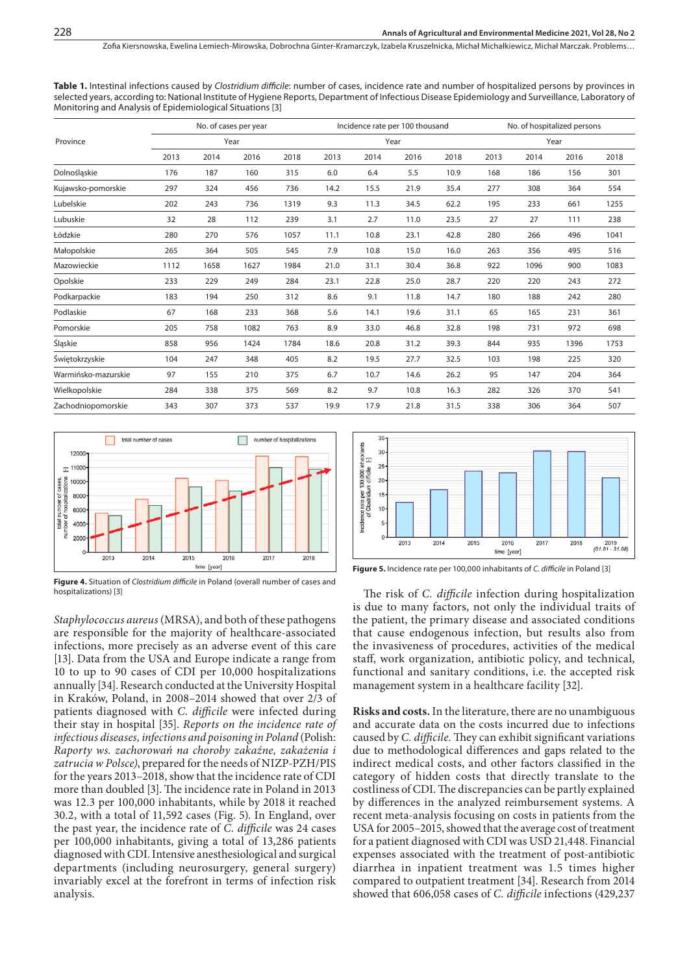**Table 1.** Intestinal infections caused by *Clostridium difficile*: number of cases, incidence rate and number of hospitalized persons by provinces in selected years, according to: National Institute of Hygiene Reports, Department of Infectious Disease Epidemiology and Surveillance, Laboratory of Monitoring and Analysis of Epidemiological Situations [3]

|                     | No. of cases per year<br>Year |      |      |      | Incidence rate per 100 thousand |      |      |      | No. of hospitalized persons<br>Year |      |      |      |
|---------------------|-------------------------------|------|------|------|---------------------------------|------|------|------|-------------------------------------|------|------|------|
| Province            |                               |      |      |      | Year                            |      |      |      |                                     |      |      |      |
|                     | 2013                          | 2014 | 2016 | 2018 | 2013                            | 2014 | 2016 | 2018 | 2013                                | 2014 | 2016 | 2018 |
| Dolnośląskie        | 176                           | 187  | 160  | 315  | 6.0                             | 6.4  | 5.5  | 10.9 | 168                                 | 186  | 156  | 301  |
| Kujawsko-pomorskie  | 297                           | 324  | 456  | 736  | 14.2                            | 15.5 | 21.9 | 35.4 | 277                                 | 308  | 364  | 554  |
| Lubelskie           | 202                           | 243  | 736  | 1319 | 9.3                             | 11.3 | 34.5 | 62.2 | 195                                 | 233  | 661  | 1255 |
| Lubuskie            | 32                            | 28   | 112  | 239  | 3.1                             | 2.7  | 11.0 | 23.5 | 27                                  | 27   | 111  | 238  |
| Łódzkie             | 280                           | 270  | 576  | 1057 | 11.1                            | 10.8 | 23.1 | 42.8 | 280                                 | 266  | 496  | 1041 |
| Małopolskie         | 265                           | 364  | 505  | 545  | 7.9                             | 10.8 | 15.0 | 16.0 | 263                                 | 356  | 495  | 516  |
| Mazowieckie         | 1112                          | 1658 | 1627 | 1984 | 21.0                            | 31.1 | 30.4 | 36.8 | 922                                 | 1096 | 900  | 1083 |
| Opolskie            | 233                           | 229  | 249  | 284  | 23.1                            | 22.8 | 25.0 | 28.7 | 220                                 | 220  | 243  | 272  |
| Podkarpackie        | 183                           | 194  | 250  | 312  | 8.6                             | 9.1  | 11.8 | 14.7 | 180                                 | 188  | 242  | 280  |
| Podlaskie           | 67                            | 168  | 233  | 368  | 5.6                             | 14.1 | 19.6 | 31.1 | 65                                  | 165  | 231  | 361  |
| Pomorskie           | 205                           | 758  | 1082 | 763  | 8.9                             | 33.0 | 46.8 | 32.8 | 198                                 | 731  | 972  | 698  |
| Śląskie             | 858                           | 956  | 1424 | 1784 | 18.6                            | 20.8 | 31.2 | 39.3 | 844                                 | 935  | 1396 | 1753 |
| Świętokrzyskie      | 104                           | 247  | 348  | 405  | 8.2                             | 19.5 | 27.7 | 32.5 | 103                                 | 198  | 225  | 320  |
| Warmińsko-mazurskie | 97                            | 155  | 210  | 375  | 6.7                             | 10.7 | 14.6 | 26.2 | 95                                  | 147  | 204  | 364  |
| Wielkopolskie       | 284                           | 338  | 375  | 569  | 8.2                             | 9.7  | 10.8 | 16.3 | 282                                 | 326  | 370  | 541  |
| Zachodniopomorskie  | 343                           | 307  | 373  | 537  | 19.9                            | 17.9 | 21.8 | 31.5 | 338                                 | 306  | 364  | 507  |



**Figure 4.** Situation of *Clostridium difficile* in Poland (overall number of cases and hospitalizations) [3]

*Staphylococcus aureus* (MRSA), and both of these pathogens are responsible for the majority of healthcare-associated infections, more precisely as an adverse event of this care [13]. Data from the USA and Europe indicate a range from 10 to up to 90 cases of CDI per 10,000 hospitalizations annually [34]. Research conducted at the University Hospital in Kraków, Poland, in 2008–2014 showed that over 2/3 of patients diagnosed with *C. difficile* were infected during their stay in hospital [35]. *Reports on the incidence rate of infectious diseases, infections and poisoning in Poland* (Polish: *Raporty ws. zachorowań na choroby zakaźne, zakażenia i zatrucia w Polsce)*, prepared for the needs of NIZP-PZH/PIS for the years 2013–2018, show that the incidence rate of CDI more than doubled [3]. The incidence rate in Poland in 2013 was 12.3 per 100,000 inhabitants, while by 2018 it reached 30.2, with a total of 11,592 cases (Fig. 5). In England, over the past year, the incidence rate of *C. difficile* was 24 cases per 100,000 inhabitants, giving a total of 13,286 patients diagnosed with CDI. Intensive anesthesiological and surgical departments (including neurosurgery, general surgery) invariably excel at the forefront in terms of infection risk analysis.



**Figure 5.** Incidence rate per 100,000 inhabitants of *C. difficile* in Poland [3]

The risk of *C. difficile* infection during hospitalization is due to many factors, not only the individual traits of the patient, the primary disease and associated conditions that cause endogenous infection, but results also from the invasiveness of procedures, activities of the medical staff, work organization, antibiotic policy, and technical, functional and sanitary conditions, i.e. the accepted risk management system in a healthcare facility [32].

**Risks and costs.** In the literature, there are no unambiguous and accurate data on the costs incurred due to infections caused by *C. difficile.* They can exhibit significant variations due to methodological differences and gaps related to the indirect medical costs, and other factors classified in the category of hidden costs that directly translate to the costliness of CDI. The discrepancies can be partly explained by differences in the analyzed reimbursement systems. A recent meta-analysis focusing on costs in patients from the USA for 2005–2015, showed that the average cost of treatment for a patient diagnosed with CDI was USD 21,448. Financial expenses associated with the treatment of post-antibiotic diarrhea in inpatient treatment was 1.5 times higher compared to outpatient treatment [34]. Research from 2014 showed that 606,058 cases of *C. difficile* infections (429,237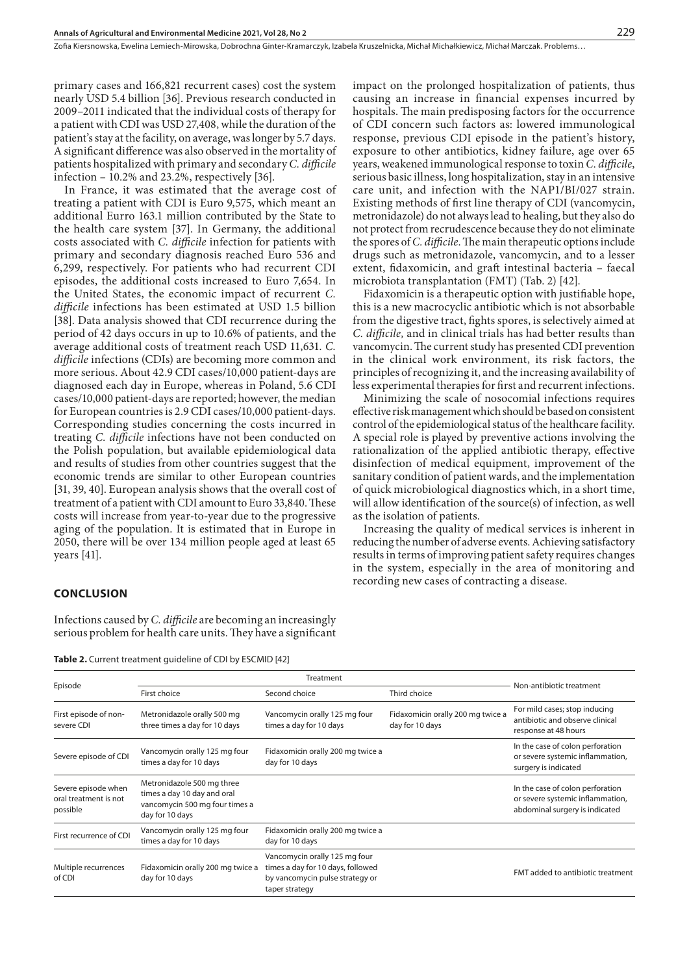primary cases and 166,821 recurrent cases) cost the system nearly USD 5.4 billion [36]. Previous research conducted in 2009–2011 indicated that the individual costs of therapy for a patient with CDI was USD 27,408, while the duration of the patient's stay at the facility, on average, was longer by 5.7 days. A significant difference was also observed in the mortality of patients hospitalized with primary and secondary *C. difficile*  infection – 10.2% and 23.2%, respectively [36].

In France, it was estimated that the average cost of treating a patient with CDI is Euro 9,575, which meant an additional Eurro 163.1 million contributed by the State to the health care system [37]. In Germany, the additional costs associated with *C. difficile* infection for patients with primary and secondary diagnosis reached Euro 536 and 6,299, respectively. For patients who had recurrent CDI episodes, the additional costs increased to Euro 7,654. In the United States, the economic impact of recurrent *C. difficile* infections has been estimated at USD 1.5 billion [38]. Data analysis showed that CDI recurrence during the period of 42 days occurs in up to 10.6% of patients, and the average additional costs of treatment reach USD 11,631*. C. difficile* infections (CDIs) are becoming more common and more serious. About 42.9 CDI cases/10,000 patient-days are diagnosed each day in Europe, whereas in Poland, 5.6 CDI cases/10,000 patient-days are reported; however, the median for European countries is 2.9 CDI cases/10,000 patient-days. Corresponding studies concerning the costs incurred in treating *C. difficile* infections have not been conducted on the Polish population, but available epidemiological data and results of studies from other countries suggest that the economic trends are similar to other European countries [31, 39, 40]. European analysis shows that the overall cost of treatment of a patient with CDI amount to Euro 33,840. These costs will increase from year-to-year due to the progressive aging of the population. It is estimated that in Europe in 2050, there will be over 134 million people aged at least 65 years [41].

impact on the prolonged hospitalization of patients, thus causing an increase in financial expenses incurred by hospitals. The main predisposing factors for the occurrence of CDI concern such factors as: lowered immunological response, previous CDI episode in the patient's history, exposure to other antibiotics, kidney failure, age over 65 years, weakened immunological response to toxin *C. difficile*, serious basic illness, long hospitalization, stay in an intensive care unit, and infection with the NAP1/BI/027 strain. Existing methods of first line therapy of CDI (vancomycin, metronidazole) do not always lead to healing, but they also do not protect from recrudescence because they do not eliminate the spores of *C. difficile*. The main therapeutic options include drugs such as metronidazole, vancomycin, and to a lesser extent, fidaxomicin, and graft intestinal bacteria – faecal microbiota transplantation (FMT) (Tab. 2) [42].

Fidaxomicin is a therapeutic option with justifiable hope, this is a new macrocyclic antibiotic which is not absorbable from the digestive tract, fights spores, is selectively aimed at *C. difficile,* and in clinical trials has had better results than vancomycin. The current study has presented CDI prevention in the clinical work environment, its risk factors, the principles of recognizing it, and the increasing availability of less experimental therapies for first and recurrent infections.

Minimizing the scale of nosocomial infections requires effective risk management which should be based on consistent control of the epidemiological status of the healthcare facility. A special role is played by preventive actions involving the rationalization of the applied antibiotic therapy, effective disinfection of medical equipment, improvement of the sanitary condition of patient wards, and the implementation of quick microbiological diagnostics which, in a short time, will allow identification of the source(s) of infection, as well as the isolation of patients.

Increasing the quality of medical services is inherent in reducing the number of adverse events. Achieving satisfactory results in terms of improving patient safety requires changes in the system, especially in the area of monitoring and recording new cases of contracting a disease.

## **CONCLUSION**

Infections caused by *C. difficile* are becoming an increasingly serious problem for health care units. They have a significant

Table 2. Current treatment guideline of CDI by ESCMID [42]

| Episode                                                  | First choice                                                                                                   | Second choice                                                                                                           | Third choice                                         | Non-antibiotic treatment                                                                               |  |  |
|----------------------------------------------------------|----------------------------------------------------------------------------------------------------------------|-------------------------------------------------------------------------------------------------------------------------|------------------------------------------------------|--------------------------------------------------------------------------------------------------------|--|--|
| First episode of non-<br>severe CDI                      | Metronidazole orally 500 mg<br>three times a day for 10 days                                                   | Vancomycin orally 125 mg four<br>times a day for 10 days                                                                | Fidaxomicin orally 200 mg twice a<br>day for 10 days | For mild cases; stop inducing<br>antibiotic and observe clinical<br>response at 48 hours               |  |  |
| Severe episode of CDI                                    | Vancomycin orally 125 mg four<br>times a day for 10 days                                                       | Fidaxomicin orally 200 mg twice a<br>day for 10 days                                                                    |                                                      | In the case of colon perforation<br>or severe systemic inflammation,<br>surgery is indicated           |  |  |
| Severe episode when<br>oral treatment is not<br>possible | Metronidazole 500 mg three<br>times a day 10 day and oral<br>vancomycin 500 mg four times a<br>day for 10 days |                                                                                                                         |                                                      | In the case of colon perforation<br>or severe systemic inflammation,<br>abdominal surgery is indicated |  |  |
| First recurrence of CDI                                  | Vancomycin orally 125 mg four<br>times a day for 10 days                                                       | Fidaxomicin orally 200 mg twice a<br>day for 10 days                                                                    |                                                      |                                                                                                        |  |  |
| Multiple recurrences<br>of CDI                           | Fidaxomicin orally 200 mg twice a<br>day for 10 days                                                           | Vancomycin orally 125 mg four<br>times a day for 10 days, followed<br>by vancomycin pulse strategy or<br>taper strategy |                                                      | FMT added to antibiotic treatment                                                                      |  |  |